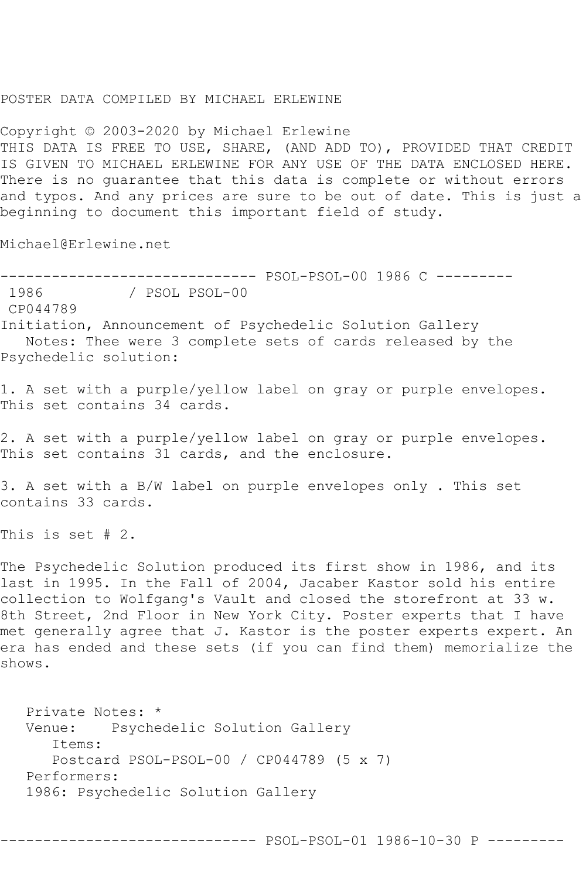## POSTER DATA COMPILED BY MICHAEL ERLEWINE

Copyright © 2003-2020 by Michael Erlewine THIS DATA IS FREE TO USE, SHARE, (AND ADD TO), PROVIDED THAT CREDIT IS GIVEN TO MICHAEL ERLEWINE FOR ANY USE OF THE DATA ENCLOSED HERE. There is no guarantee that this data is complete or without errors and typos. And any prices are sure to be out of date. This is just a beginning to document this important field of study.

Michael@Erlewine.net

------------------------------ PSOL-PSOL-00 1986 C --------- / PSOL PSOL-00

CP044789

Initiation, Announcement of Psychedelic Solution Gallery Notes: Thee were 3 complete sets of cards released by the Psychedelic solution:

1. A set with a purple/yellow label on gray or purple envelopes. This set contains 34 cards.

2. A set with a purple/yellow label on gray or purple envelopes. This set contains 31 cards, and the enclosure.

3. A set with a B/W label on purple envelopes only . This set contains 33 cards.

This is set # 2.

The Psychedelic Solution produced its first show in 1986, and its last in 1995. In the Fall of 2004, Jacaber Kastor sold his entire collection to Wolfgang's Vault and closed the storefront at 33 w. 8th Street, 2nd Floor in New York City. Poster experts that I have met generally agree that J. Kastor is the poster experts expert. An era has ended and these sets (if you can find them) memorialize the shows.

 Private Notes: \* Venue: Psychedelic Solution Gallery Items: Postcard PSOL-PSOL-00 / CP044789 (5 x 7) Performers: 1986: Psychedelic Solution Gallery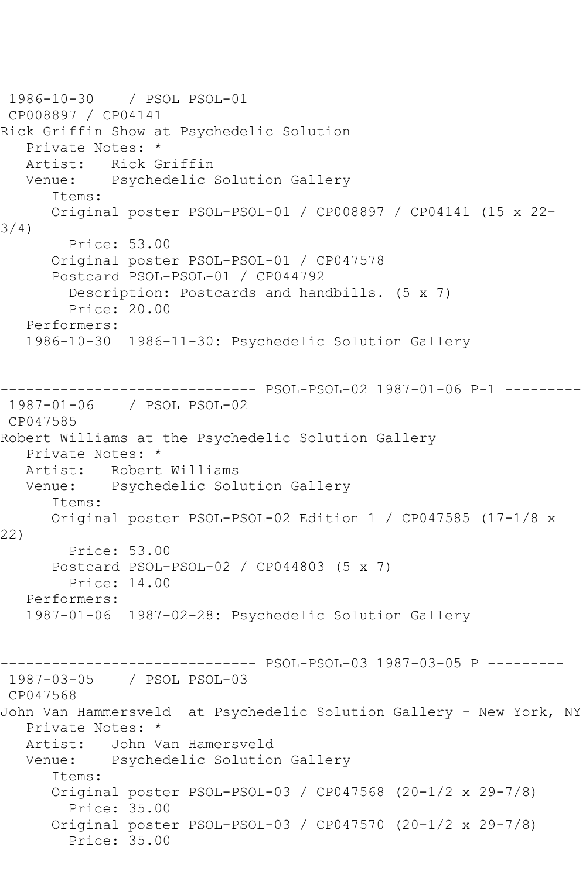1986-10-30 / PSOL PSOL-01 CP008897 / CP04141 Rick Griffin Show at Psychedelic Solution Private Notes: \* Artist: Rick Griffin Venue: Psychedelic Solution Gallery Items: Original poster PSOL-PSOL-01 / CP008897 / CP04141 (15 x 22- 3/4) Price: 53.00 Original poster PSOL-PSOL-01 / CP047578 Postcard PSOL-PSOL-01 / CP044792 Description: Postcards and handbills. (5 x 7) Price: 20.00 Performers: 1986-10-30 1986-11-30: Psychedelic Solution Gallery ------------------------------ PSOL-PSOL-02 1987-01-06 P-1 --------- 1987-01-06 / PSOL PSOL-02 CP047585 Robert Williams at the Psychedelic Solution Gallery Private Notes: \* Artist: Robert Williams Venue: Psychedelic Solution Gallery Items: Original poster PSOL-PSOL-02 Edition 1 / CP047585 (17-1/8 x 22) Price: 53.00 Postcard PSOL-PSOL-02 / CP044803 (5 x 7) Price: 14.00 Performers: 1987-01-06 1987-02-28: Psychedelic Solution Gallery ------------------------------ PSOL-PSOL-03 1987-03-05 P --------- 1987-03-05 / PSOL PSOL-03 CP047568 John Van Hammersveld at Psychedelic Solution Gallery - New York, NY Private Notes: \* Artist: John Van Hamersveld Venue: Psychedelic Solution Gallery Items: Original poster PSOL-PSOL-03 / CP047568 (20-1/2 x 29-7/8) Price: 35.00 Original poster PSOL-PSOL-03 / CP047570 (20-1/2 x 29-7/8) Price: 35.00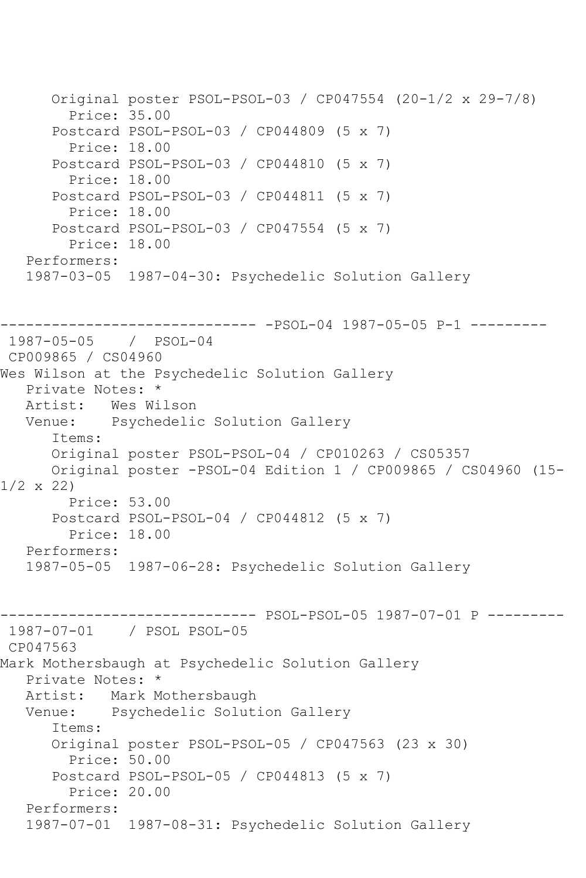```
 Original poster PSOL-PSOL-03 / CP047554 (20-1/2 x 29-7/8)
         Price: 35.00
       Postcard PSOL-PSOL-03 / CP044809 (5 x 7)
         Price: 18.00
       Postcard PSOL-PSOL-03 / CP044810 (5 x 7)
         Price: 18.00
       Postcard PSOL-PSOL-03 / CP044811 (5 x 7)
         Price: 18.00
       Postcard PSOL-PSOL-03 / CP047554 (5 x 7)
         Price: 18.00
    Performers:
    1987-03-05 1987-04-30: Psychedelic Solution Gallery
   ------------------------------ -PSOL-04 1987-05-05 P-1 ---------
1987-05-05 / PSOL-04
CP009865 / CS04960
Wes Wilson at the Psychedelic Solution Gallery
  Private Notes: *<br>Artist: Wes Wi
           Wes Wilson
   Venue: Psychedelic Solution Gallery
       Items:
       Original poster PSOL-PSOL-04 / CP010263 / CS05357
       Original poster -PSOL-04 Edition 1 / CP009865 / CS04960 (15-
1/2 x 22)
        Price: 53.00
       Postcard PSOL-PSOL-04 / CP044812 (5 x 7)
         Price: 18.00
   Performers:
    1987-05-05 1987-06-28: Psychedelic Solution Gallery
------------------------------ PSOL-PSOL-05 1987-07-01 P ---------
1987-07-01 / PSOL PSOL-05
CP047563
Mark Mothersbaugh at Psychedelic Solution Gallery
    Private Notes: *
   Artist: Mark Mothersbaugh
   Venue: Psychedelic Solution Gallery
       Items:
       Original poster PSOL-PSOL-05 / CP047563 (23 x 30)
         Price: 50.00
       Postcard PSOL-PSOL-05 / CP044813 (5 x 7)
         Price: 20.00
    Performers:
    1987-07-01 1987-08-31: Psychedelic Solution Gallery
```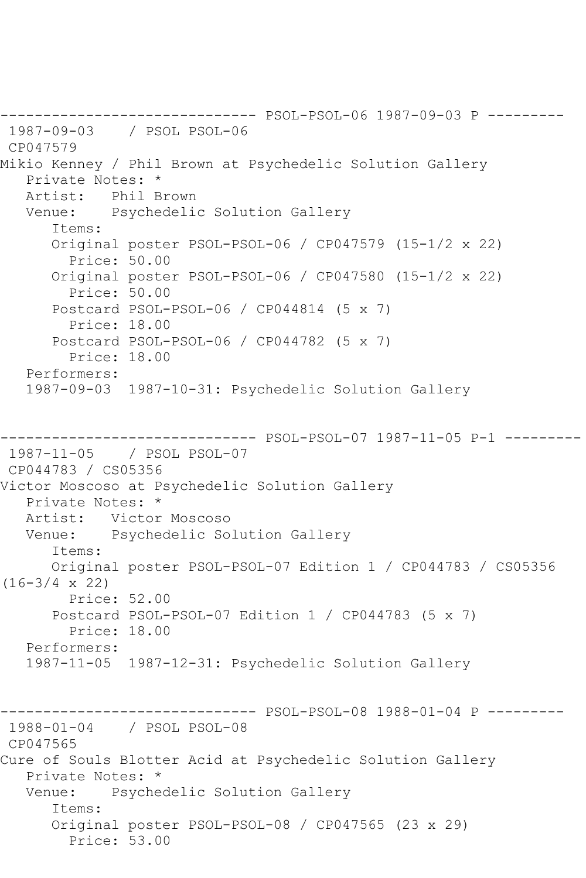------------------------------ PSOL-PSOL-06 1987-09-03 P --------- 1987-09-03 / PSOL PSOL-06 CP047579 Mikio Kenney / Phil Brown at Psychedelic Solution Gallery Private Notes: \* Artist: Phil Brown Venue: Psychedelic Solution Gallery Items: Original poster PSOL-PSOL-06 / CP047579 (15-1/2 x 22) Price: 50.00 Original poster PSOL-PSOL-06 / CP047580 (15-1/2 x 22) Price: 50.00 Postcard PSOL-PSOL-06 / CP044814 (5 x 7) Price: 18.00 Postcard PSOL-PSOL-06 / CP044782 (5 x 7) Price: 18.00 Performers: 1987-09-03 1987-10-31: Psychedelic Solution Gallery ------------------------------ PSOL-PSOL-07 1987-11-05 P-1 --------- 1987-11-05 / PSOL PSOL-07 CP044783 / CS05356 Victor Moscoso at Psychedelic Solution Gallery Private Notes: \* Artist: Victor Moscoso Venue: Psychedelic Solution Gallery Items: Original poster PSOL-PSOL-07 Edition 1 / CP044783 / CS05356  $(16-3/4 \times 22)$  Price: 52.00 Postcard PSOL-PSOL-07 Edition 1 / CP044783 (5 x 7) Price: 18.00 Performers: 1987-11-05 1987-12-31: Psychedelic Solution Gallery ------------------------------ PSOL-PSOL-08 1988-01-04 P --------- 1988-01-04 / PSOL PSOL-08 CP047565 Cure of Souls Blotter Acid at Psychedelic Solution Gallery Private Notes: \* Venue: Psychedelic Solution Gallery Items: Original poster PSOL-PSOL-08 / CP047565 (23 x 29) Price: 53.00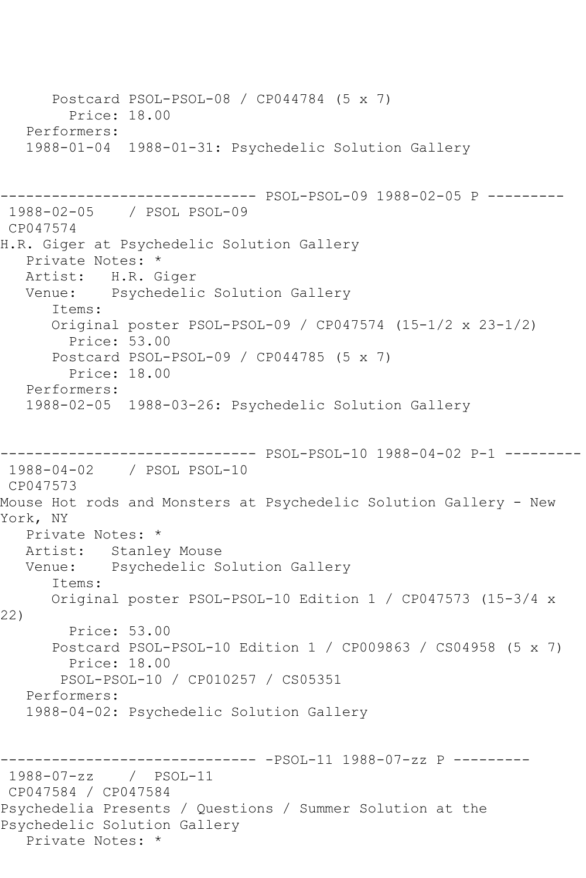Postcard PSOL-PSOL-08 / CP044784 (5 x 7) Price: 18.00 Performers: 1988-01-04 1988-01-31: Psychedelic Solution Gallery ------------------------------ PSOL-PSOL-09 1988-02-05 P --------- 1988-02-05 / PSOL PSOL-09 CP047574 H.R. Giger at Psychedelic Solution Gallery Private Notes: \* Artist: H.R. Giger Venue: Psychedelic Solution Gallery Items: Original poster PSOL-PSOL-09 / CP047574 (15-1/2 x 23-1/2) Price: 53.00 Postcard PSOL-PSOL-09 / CP044785 (5 x 7) Price: 18.00 Performers: 1988-02-05 1988-03-26: Psychedelic Solution Gallery ------------------------------ PSOL-PSOL-10 1988-04-02 P-1 --------- 1988-04-02 / PSOL PSOL-10 CP047573 Mouse Hot rods and Monsters at Psychedelic Solution Gallery - New York, NY Private Notes: \* Artist: Stanley Mouse Venue: Psychedelic Solution Gallery Items: Original poster PSOL-PSOL-10 Edition 1 / CP047573 (15-3/4 x 22) Price: 53.00 Postcard PSOL-PSOL-10 Edition 1 / CP009863 / CS04958 (5 x 7) Price: 18.00 PSOL-PSOL-10 / CP010257 / CS05351 Performers: 1988-04-02: Psychedelic Solution Gallery ------------------------------ -PSOL-11 1988-07-zz P --------- 1988-07-zz / PSOL-11 CP047584 / CP047584 Psychedelia Presents / Questions / Summer Solution at the Psychedelic Solution Gallery Private Notes: \*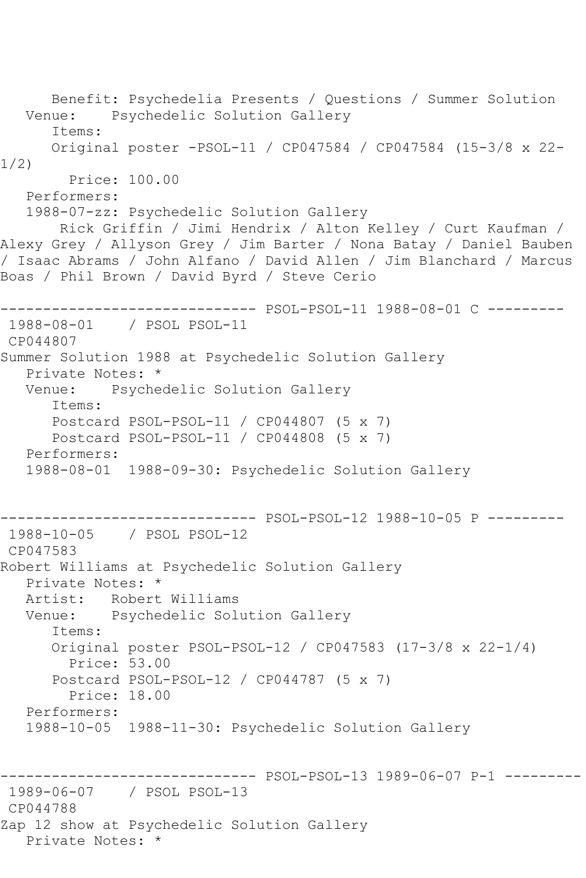Benefit: Psychedelia Presents / Questions / Summer Solution Psychedelic Solution Gallery Items: Original poster -PSOL-11 / CP047584 / CP047584 (15-3/8 x 22- 1/2) Price: 100.00 Performers: 1988-07-zz: Psychedelic Solution Gallery Rick Griffin / Jimi Hendrix / Alton Kelley / Curt Kaufman / Alexy Grey / Allyson Grey / Jim Barter / Nona Batay / Daniel Bauben / Isaac Abrams / John Alfano / David Allen / Jim Blanchard / Marcus Boas / Phil Brown / David Byrd / Steve Cerio ------------------------------ PSOL-PSOL-11 1988-08-01 C --------- 1988-08-01 / PSOL PSOL-11 CP044807 Summer Solution 1988 at Psychedelic Solution Gallery Private Notes: \*<br>Venue: Psyche Psychedelic Solution Gallery Items: Postcard PSOL-PSOL-11 / CP044807 (5 x 7) Postcard PSOL-PSOL-11 / CP044808 (5 x 7) Performers: 1988-08-01 1988-09-30: Psychedelic Solution Gallery ------------------------------ PSOL-PSOL-12 1988-10-05 P --------- 1988-10-05 / PSOL PSOL-12 CP047583 Robert Williams at Psychedelic Solution Gallery Private Notes: \* Artist: Robert Williams Venue: Psychedelic Solution Gallery Items: Original poster PSOL-PSOL-12 / CP047583 (17-3/8 x 22-1/4) Price: 53.00 Postcard PSOL-PSOL-12 / CP044787 (5 x 7) Price: 18.00 Performers: 1988-10-05 1988-11-30: Psychedelic Solution Gallery ------------------------------ PSOL-PSOL-13 1989-06-07 P-1 --------- 1989-06-07 / PSOL PSOL-13 CP044788 Zap 12 show at Psychedelic Solution Gallery Private Notes: \*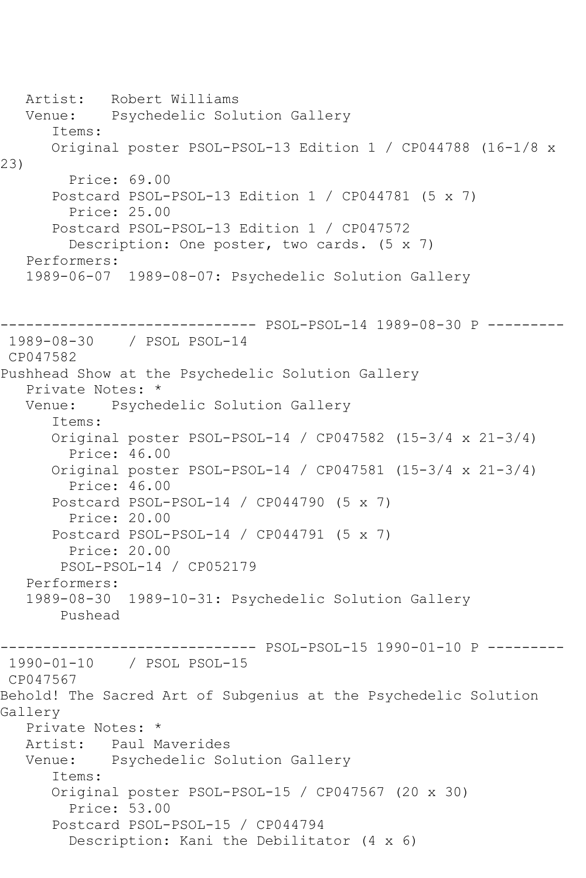Artist: Robert Williams Venue: Psychedelic Solution Gallery Items: Original poster PSOL-PSOL-13 Edition 1 / CP044788 (16-1/8 x 23) Price: 69.00 Postcard PSOL-PSOL-13 Edition 1 / CP044781 (5 x 7) Price: 25.00 Postcard PSOL-PSOL-13 Edition 1 / CP047572 Description: One poster, two cards. (5 x 7) Performers: 1989-06-07 1989-08-07: Psychedelic Solution Gallery ------------------------------ PSOL-PSOL-14 1989-08-30 P --------- 1989-08-30 / PSOL PSOL-14 CP047582 Pushhead Show at the Psychedelic Solution Gallery Private Notes: \* Venue: Psychedelic Solution Gallery Items: Original poster PSOL-PSOL-14 / CP047582 (15-3/4 x 21-3/4) Price: 46.00 Original poster PSOL-PSOL-14 / CP047581 (15-3/4 x 21-3/4) Price: 46.00 Postcard PSOL-PSOL-14 / CP044790 (5 x 7) Price: 20.00 Postcard PSOL-PSOL-14 / CP044791 (5 x 7) Price: 20.00 PSOL-PSOL-14 / CP052179 Performers: 1989-08-30 1989-10-31: Psychedelic Solution Gallery Pushead ------------------------------ PSOL-PSOL-15 1990-01-10 P --------- 1990-01-10 / PSOL PSOL-15 CP047567 Behold! The Sacred Art of Subgenius at the Psychedelic Solution Gallery Private Notes: \* Artist: Paul Maverides Venue: Psychedelic Solution Gallery Items: Original poster PSOL-PSOL-15 / CP047567 (20 x 30) Price: 53.00 Postcard PSOL-PSOL-15 / CP044794 Description: Kani the Debilitator (4 x 6)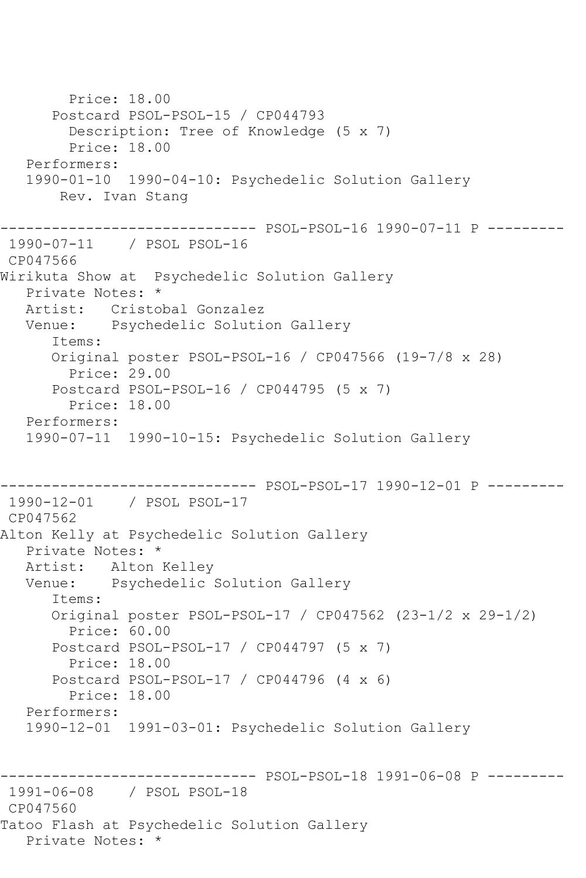Price: 18.00 Postcard PSOL-PSOL-15 / CP044793 Description: Tree of Knowledge (5 x 7) Price: 18.00 Performers: 1990-01-10 1990-04-10: Psychedelic Solution Gallery Rev. Ivan Stang ------------------------------ PSOL-PSOL-16 1990-07-11 P --------- 1990-07-11 / PSOL PSOL-16 CP047566 Wirikuta Show at Psychedelic Solution Gallery Private Notes: \* Artist: Cristobal Gonzalez Venue: Psychedelic Solution Gallery Items: Original poster PSOL-PSOL-16 / CP047566 (19-7/8 x 28) Price: 29.00 Postcard PSOL-PSOL-16 / CP044795 (5 x 7) Price: 18.00 Performers: 1990-07-11 1990-10-15: Psychedelic Solution Gallery ------------------------------ PSOL-PSOL-17 1990-12-01 P --------- 1990-12-01 / PSOL PSOL-17 CP047562 Alton Kelly at Psychedelic Solution Gallery Private Notes: \* Artist: Alton Kelley Venue: Psychedelic Solution Gallery Items: Original poster PSOL-PSOL-17 / CP047562 (23-1/2 x 29-1/2) Price: 60.00 Postcard PSOL-PSOL-17 / CP044797 (5 x 7) Price: 18.00 Postcard PSOL-PSOL-17 / CP044796 (4 x 6) Price: 18.00 Performers: 1990-12-01 1991-03-01: Psychedelic Solution Gallery ------------------------------ PSOL-PSOL-18 1991-06-08 P --------- 1991-06-08 / PSOL PSOL-18 CP047560 Tatoo Flash at Psychedelic Solution Gallery Private Notes: \*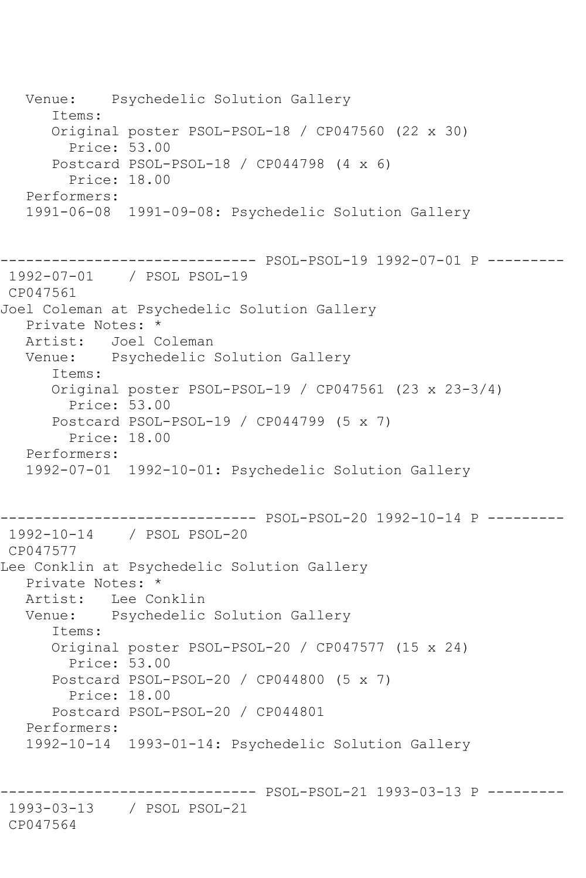Venue: Psychedelic Solution Gallery Items: Original poster PSOL-PSOL-18 / CP047560 (22 x 30) Price: 53.00 Postcard PSOL-PSOL-18 / CP044798 (4 x 6) Price: 18.00 Performers: 1991-06-08 1991-09-08: Psychedelic Solution Gallery ------------------------------ PSOL-PSOL-19 1992-07-01 P --------- 1992-07-01 / PSOL PSOL-19 CP047561 Joel Coleman at Psychedelic Solution Gallery Private Notes: \*<br>Artist: Joel C Joel Coleman Venue: Psychedelic Solution Gallery Items: Original poster PSOL-PSOL-19 / CP047561 (23 x 23-3/4) Price: 53.00 Postcard PSOL-PSOL-19 / CP044799 (5 x 7) Price: 18.00 Performers: 1992-07-01 1992-10-01: Psychedelic Solution Gallery ------------------------------ PSOL-PSOL-20 1992-10-14 P --------- 1992-10-14 / PSOL PSOL-20 CP047577 Lee Conklin at Psychedelic Solution Gallery Private Notes: \* Artist: Lee Conklin Venue: Psychedelic Solution Gallery Items: Original poster PSOL-PSOL-20 / CP047577 (15 x 24) Price: 53.00 Postcard PSOL-PSOL-20 / CP044800 (5 x 7) Price: 18.00 Postcard PSOL-PSOL-20 / CP044801 Performers: 1992-10-14 1993-01-14: Psychedelic Solution Gallery ------------------------------ PSOL-PSOL-21 1993-03-13 P --------- 1993-03-13 / PSOL PSOL-21 CP047564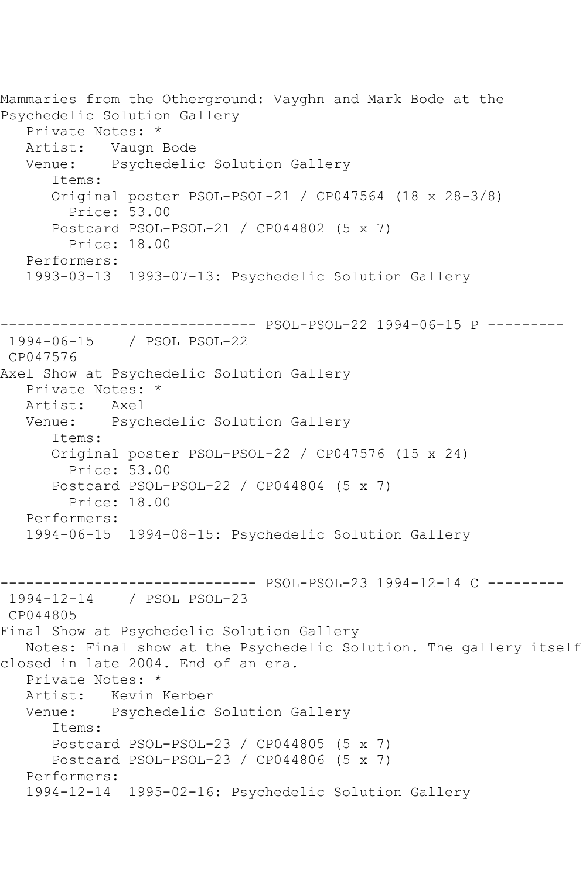Mammaries from the Otherground: Vayghn and Mark Bode at the Psychedelic Solution Gallery Private Notes: \* Artist: Vaugn Bode<br>Venue: Psychedeli Psychedelic Solution Gallery Items: Original poster PSOL-PSOL-21 / CP047564 (18 x 28-3/8) Price: 53.00 Postcard PSOL-PSOL-21 / CP044802 (5 x 7) Price: 18.00 Performers: 1993-03-13 1993-07-13: Psychedelic Solution Gallery ------------------------------ PSOL-PSOL-22 1994-06-15 P --------- 1994-06-15 / PSOL PSOL-22 CP047576 Axel Show at Psychedelic Solution Gallery Private Notes: \*<br>Artist: Axel Artist: Venue: Psychedelic Solution Gallery Items: Original poster PSOL-PSOL-22 / CP047576 (15 x 24) Price: 53.00 Postcard PSOL-PSOL-22 / CP044804 (5 x 7) Price: 18.00 Performers: 1994-06-15 1994-08-15: Psychedelic Solution Gallery ------------------------------ PSOL-PSOL-23 1994-12-14 C --------- 1994-12-14 / PSOL PSOL-23 CP044805 Final Show at Psychedelic Solution Gallery Notes: Final show at the Psychedelic Solution. The gallery itself closed in late 2004. End of an era. Private Notes: \* Artist: Kevin Kerber Venue: Psychedelic Solution Gallery Items: Postcard PSOL-PSOL-23 / CP044805 (5 x 7) Postcard PSOL-PSOL-23 / CP044806 (5 x 7) Performers: 1994-12-14 1995-02-16: Psychedelic Solution Gallery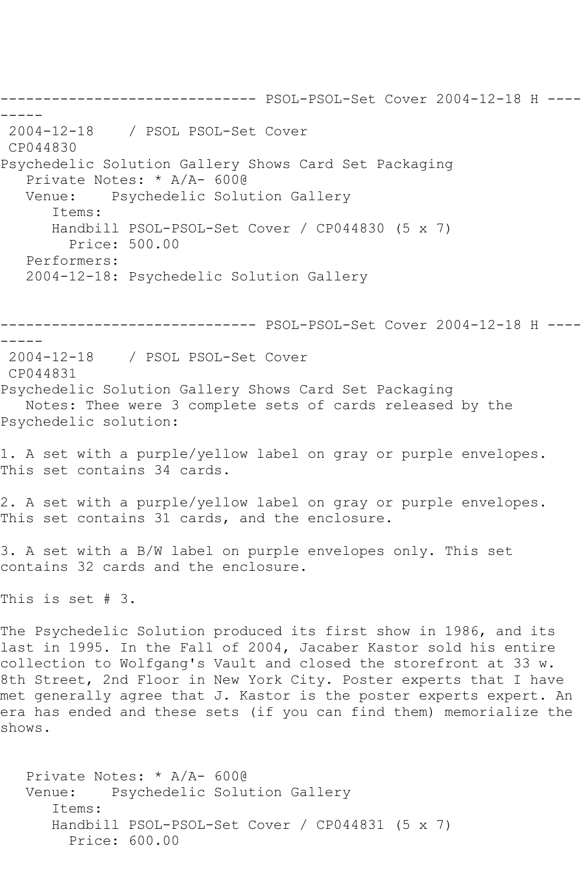------------------------------ PSOL-PSOL-Set Cover 2004-12-18 H ---- ----- 2004-12-18 / PSOL PSOL-Set Cover CP044830 Psychedelic Solution Gallery Shows Card Set Packaging Private Notes: \* A/A- 600@ Venue: Psychedelic Solution Gallery Items: Handbill PSOL-PSOL-Set Cover / CP044830 (5 x 7) Price: 500.00 Performers: 2004-12-18: Psychedelic Solution Gallery ------------------------------ PSOL-PSOL-Set Cover 2004-12-18 H ---- ----- 2004-12-18 / PSOL PSOL-Set Cover CP044831 Psychedelic Solution Gallery Shows Card Set Packaging Notes: Thee were 3 complete sets of cards released by the Psychedelic solution: 1. A set with a purple/yellow label on gray or purple envelopes. This set contains 34 cards. 2. A set with a purple/yellow label on gray or purple envelopes. This set contains 31 cards, and the enclosure. 3. A set with a B/W label on purple envelopes only. This set contains 32 cards and the enclosure. This is set # 3. The Psychedelic Solution produced its first show in 1986, and its last in 1995. In the Fall of 2004, Jacaber Kastor sold his entire collection to Wolfgang's Vault and closed the storefront at 33 w. 8th Street, 2nd Floor in New York City. Poster experts that I have met generally agree that J. Kastor is the poster experts expert. An era has ended and these sets (if you can find them) memorialize the shows. Private Notes: \* A/A- 600@ Venue: Psychedelic Solution Gallery Items: Handbill PSOL-PSOL-Set Cover / CP044831 (5 x 7)

Price: 600.00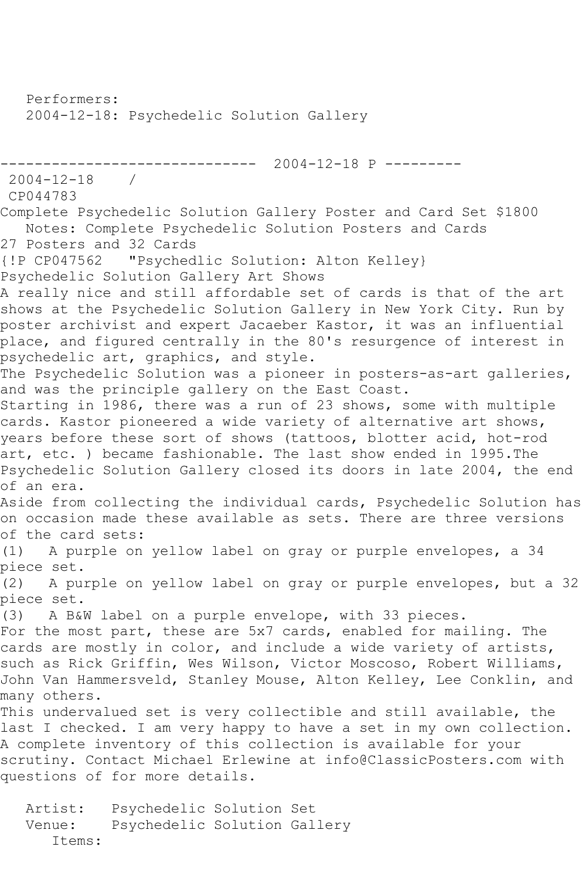Performers: 2004-12-18: Psychedelic Solution Gallery ------------------------------ 2004-12-18 P ---------  $2004 - 12 - 18$ CP044783 Complete Psychedelic Solution Gallery Poster and Card Set \$1800 Notes: Complete Psychedelic Solution Posters and Cards 27 Posters and 32 Cards {!P CP047562 "Psychedlic Solution: Alton Kelley} Psychedelic Solution Gallery Art Shows A really nice and still affordable set of cards is that of the art shows at the Psychedelic Solution Gallery in New York City. Run by poster archivist and expert Jacaeber Kastor, it was an influential place, and figured centrally in the 80's resurgence of interest in psychedelic art, graphics, and style. The Psychedelic Solution was a pioneer in posters-as-art galleries, and was the principle gallery on the East Coast. Starting in 1986, there was a run of 23 shows, some with multiple cards. Kastor pioneered a wide variety of alternative art shows, years before these sort of shows (tattoos, blotter acid, hot-rod art, etc. ) became fashionable. The last show ended in 1995.The Psychedelic Solution Gallery closed its doors in late 2004, the end of an era. Aside from collecting the individual cards, Psychedelic Solution has on occasion made these available as sets. There are three versions of the card sets: (1) A purple on yellow label on gray or purple envelopes, a 34 piece set. (2) A purple on yellow label on gray or purple envelopes, but a 32 piece set. (3) A B&W label on a purple envelope, with 33 pieces. For the most part, these are 5x7 cards, enabled for mailing. The cards are mostly in color, and include a wide variety of artists, such as Rick Griffin, Wes Wilson, Victor Moscoso, Robert Williams, John Van Hammersveld, Stanley Mouse, Alton Kelley, Lee Conklin, and many others. This undervalued set is very collectible and still available, the last I checked. I am very happy to have a set in my own collection.

A complete inventory of this collection is available for your scrutiny. Contact Michael Erlewine at info@ClassicPosters.com with questions of for more details.

 Artist: Psychedelic Solution Set Venue: Psychedelic Solution Gallery Items: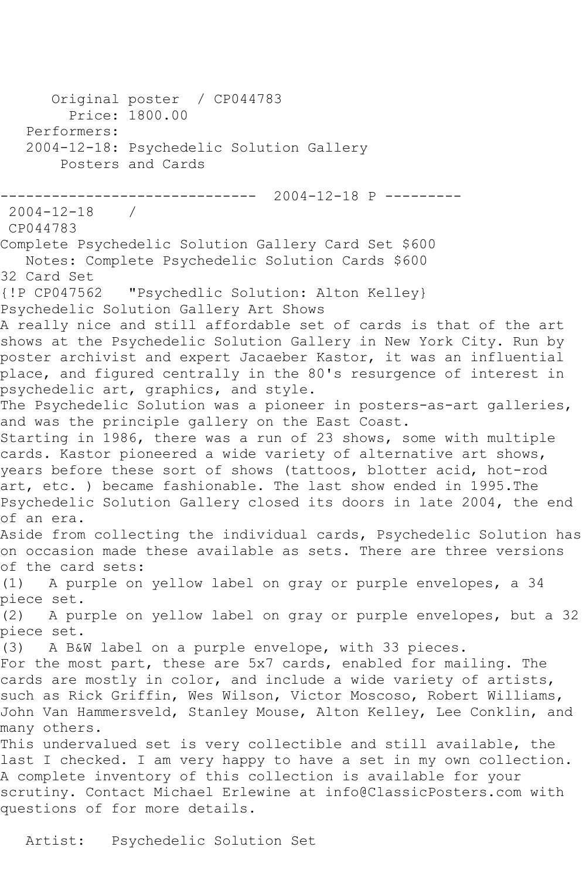Original poster / CP044783 Price: 1800.00 Performers: 2004-12-18: Psychedelic Solution Gallery Posters and Cards ------------------------------ 2004-12-18 P --------- 2004-12-18 / CP044783 Complete Psychedelic Solution Gallery Card Set \$600 Notes: Complete Psychedelic Solution Cards \$600 32 Card Set<br>{!P CP047562 "Psychedlic Solution: Alton Kelley} Psychedelic Solution Gallery Art Shows A really nice and still affordable set of cards is that of the art shows at the Psychedelic Solution Gallery in New York City. Run by poster archivist and expert Jacaeber Kastor, it was an influential place, and figured centrally in the 80's resurgence of interest in psychedelic art, graphics, and style. The Psychedelic Solution was a pioneer in posters-as-art galleries, and was the principle gallery on the East Coast. Starting in 1986, there was a run of 23 shows, some with multiple cards. Kastor pioneered a wide variety of alternative art shows, years before these sort of shows (tattoos, blotter acid, hot-rod art, etc. ) became fashionable. The last show ended in 1995.The Psychedelic Solution Gallery closed its doors in late 2004, the end of an era. Aside from collecting the individual cards, Psychedelic Solution has on occasion made these available as sets. There are three versions of the card sets: (1) A purple on yellow label on gray or purple envelopes, a 34 piece set.<br>(2) – A pu: A purple on yellow label on gray or purple envelopes, but a 32 piece set. (3) A B&W label on a purple envelope, with 33 pieces. For the most part, these are 5x7 cards, enabled for mailing. The cards are mostly in color, and include a wide variety of artists, such as Rick Griffin, Wes Wilson, Victor Moscoso, Robert Williams, John Van Hammersveld, Stanley Mouse, Alton Kelley, Lee Conklin, and many others. This undervalued set is very collectible and still available, the last I checked. I am very happy to have a set in my own collection. A complete inventory of this collection is available for your scrutiny. Contact Michael Erlewine at info@ClassicPosters.com with questions of for more details.